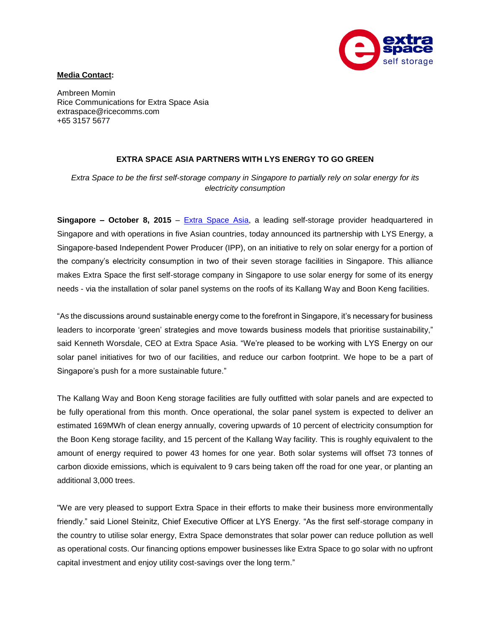

## **Media Contact:**

Ambreen Momin Rice Communications for Extra Space Asia extraspace@ricecomms.com +65 3157 5677

## **EXTRA SPACE ASIA PARTNERS WITH LYS ENERGY TO GO GREEN**

*Extra Space to be the first self-storage company in Singapore to partially rely on solar energy for its electricity consumption*

**Singapore – October 8, 2015** – [Extra Space](http://www.extraspaceasia.com/) Asia, a leading self-storage provider headquartered in Singapore and with operations in five Asian countries, today announced its partnership with LYS Energy, a Singapore-based Independent Power Producer (IPP), on an initiative to rely on solar energy for a portion of the company's electricity consumption in two of their seven storage facilities in Singapore. This alliance makes Extra Space the first self-storage company in Singapore to use solar energy for some of its energy needs - via the installation of solar panel systems on the roofs of its Kallang Way and Boon Keng facilities.

"As the discussions around sustainable energy come to the forefront in Singapore, it's necessary for business leaders to incorporate 'green' strategies and move towards business models that prioritise sustainability," said Kenneth Worsdale, CEO at Extra Space Asia. "We're pleased to be working with LYS Energy on our solar panel initiatives for two of our facilities, and reduce our carbon footprint. We hope to be a part of Singapore's push for a more sustainable future."

The Kallang Way and Boon Keng storage facilities are fully outfitted with solar panels and are expected to be fully operational from this month. Once operational, the solar panel system is expected to deliver an estimated 169MWh of clean energy annually, covering upwards of 10 percent of electricity consumption for the Boon Keng storage facility, and 15 percent of the Kallang Way facility. This is roughly equivalent to the amount of energy required to power 43 homes for one year. Both solar systems will offset 73 tonnes of carbon dioxide emissions, which is equivalent to 9 cars being taken off the road for one year, or planting an additional 3,000 trees.

"We are very pleased to support Extra Space in their efforts to make their business more environmentally friendly." said Lionel Steinitz, Chief Executive Officer at LYS Energy. "As the first self-storage company in the country to utilise solar energy, Extra Space demonstrates that solar power can reduce pollution as well as operational costs. Our financing options empower businesses like Extra Space to go solar with no upfront capital investment and enjoy utility cost-savings over the long term."